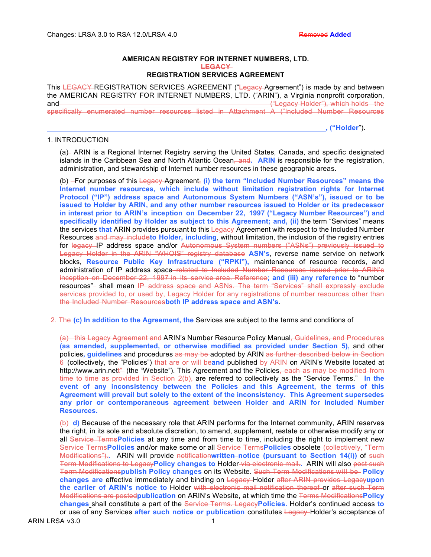#### **AMERICAN REGISTRY FOR INTERNET NUMBERS, LTD. LEGACY REGISTRATION SERVICES AGREEMENT**

This LEGACY REGISTRATION SERVICES AGREEMENT ("Legacy Agreement") is made by and between the AMERICAN REGISTRY FOR INTERNET NUMBERS, LTD. ("ARIN"), a Virginia nonprofit corporation, and and and the contract of the contract of the contract of the contract of the contract of the contract of the contract of the contract of the contract of the contract of the contract of the contract of the contract of th specifically enumerated number resources listed in Attachment A ("Included Number Resources

**, ("Holder**").

# 1. INTRODUCTION

(a) ARIN is a Regional Internet Registry serving the United States, Canada, and specific designated islands in the Caribbean Sea and North Atlantic Ocean, and**. ARIN** is responsible for the registration, administration, and stewardship of Internet number resources in these geographic areas.

(b) For purposes of this Legacy Agreement, **(i) the term "Included Number Resources" means the Internet number resources, which include without limitation registration rights for Internet Protocol ("IP") address space and Autonomous System Numbers ("ASN's"), issued or to be issued to Holder by ARIN, and any other number resources issued to Holder or its predecessor in interest prior to ARIN's inception on December 22, 1997 ("Legacy Number Resources") and specifically identified by Holder as subject to this Agreement; and, (ii)** the term "Services" means the services **that** ARIN provides pursuant to this Legacy Agreement with respect to the Included Number Resources and may include**to Holder, including**, without limitation, the inclusion of the registry entries for legacy IP address space and/or Autonomous System numbers ("ASNs") previously issued to Legacy Holder in the ARIN "WHOIS" registry database **ASN's**, reverse name service on network blocks, **Resource Public Key Infrastructure ("RPKI"),** maintenance of resource records, and administration of IP address space related to Included Number Resources issued prior to ARIN's inception on December 22, 1997 in its service area. Reference**; and (iii) any reference** to "number resources"- shall mean IP address space and ASNs. The term "Services" shall expressly exclude services provided to, or used by, Legacy Holder for any registrations of number resources other than the Included Number Resources**both IP address space and ASN's**.

2. The **(c) In addition to the Agreement, the** Services are subject to the terms and conditions of

(a) this Legacy Agreement and ARIN's Number Resource Policy Manual, Guidelines, and Procedures **(as amended, supplemented, or otherwise modified as provided under Section 5),** and other policies**, guidelines** and procedures as may be adopted by ARIN as further described below in Section 6 (collectively, the "Policies") that are or will beand published by ARIN on ARIN's Website located at http://www.arin.nett" (the "Website"). This Agreement and the Policies, each as may be modified from time to time as provided in Section 2(b), are referred to collectively as the "Service Terms." **In the event of any inconsistency between the Policies and this Agreement, the terms of this Agreement will prevail but solely to the extent of the inconsistency. This Agreement supersedes any prior or contemporaneous agreement between Holder and ARIN for Included Number Resources.**

(b) **d)** Because of the necessary role that ARIN performs for the Internet community, ARIN reserves the right, in its sole and absolute discretion, to amend, supplement, restate or otherwise modify any or all Service Terms**Policies** at any time and from time to time, including the right to implement new Service Terms**Policies** and/or make some or all Service Terms**Policies** obsolete (collectively, "Term Modifications").**.** ARIN will provide notification**written notice (pursuant to Section 14(i))** of such Term Modifications to Legacy**Policy changes to** Holder via electronic mail.**.** ARIN will also post such Term Modifications**publish Policy changes** on its Website. Such Term Modifications will be **Policy changes are** effective immediately and binding on Legacy Holder after ARIN provides Legacy**upon the earlier of ARIN's notice to** Holder with electronic mail notification thereof or after such Term Modifications are posted**publication** on ARIN's Website, at which time the Terms Modifications**Policy changes** shall constitute a part of the Service Terms. Legacy**Policies.** Holder's continued access **to**  or use of any Services **after such notice or publication** constitutes Legacy Holder's acceptance of

ARIN LRSA v3.0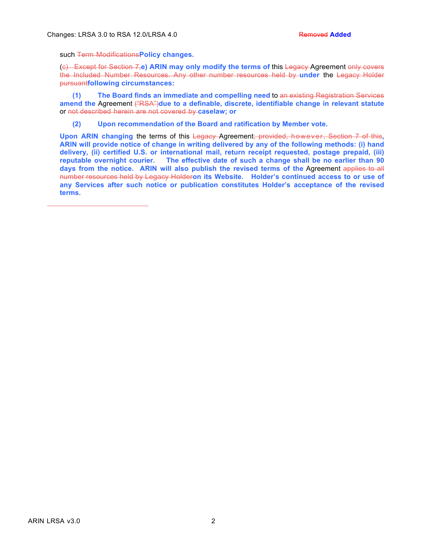such Term Modifications**Policy changes.**

(c) Except for Section 7,**e) ARIN may only modify the terms of** this Legacy Agreement only covers the Included Number Resources. Any other number resources held by **under** the Legacy Holder pursuant**following circumstances:**

**(1) The Board finds an immediate and compelling need** to an existing Registration Services **amend the** Agreement ("RSA")**due to a definable, discrete, identifiable change in relevant statute** or not described herein are not covered by **caselaw; or**

**(2) Upon recommendation of the Board and ratification by Member vote.**

**Upon ARIN changing** the terms of this Legacy Agreement; provided, however, Section 7 of this**, ARIN will provide notice of change in writing delivered by any of the following methods: (i) hand delivery, (ii) certified U.S. or international mail, return receipt requested, postage prepaid, (iii) reputable overnight courier. The effective date of such a change shall be no earlier than 90 days from the notice. ARIN will also publish the revised terms of the** Agreement applies to all number resources held by Legacy Holder**on its Website. Holder's continued access to or use of any Services after such notice or publication constitutes Holder's acceptance of the revised terms**.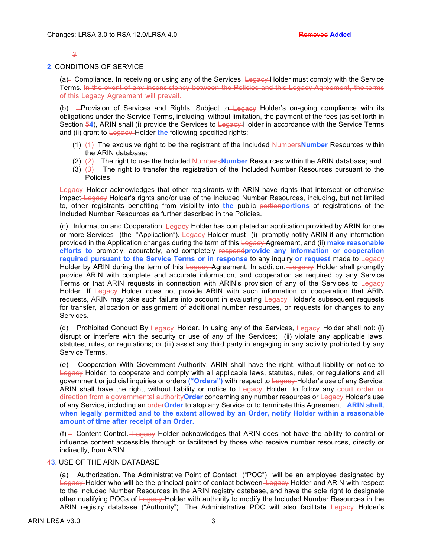#### $\overline{a}$

#### **2**. CONDITIONS OF SERVICE

(a) Compliance. In receiving or using any of the Services, Legacy Holder must comply with the Service Terms. In the event of any inconsistency between the Policies and this Legacy Agreement, the terms of this Legacy Agreement will prevail.

(b)  $-$ Provision of Services and Rights. Subject to  $\frac{L}{Q}$  Holder's on-going compliance with its obligations under the Service Terms, including, without limitation, the payment of the fees (as set forth in Section 54), ARIN shall (i) provide the Services to Legacy-Holder in accordance with the Service Terms and (ii) grant to Legacy-Holder the following specified rights:

- (1) (1) The exclusive right to be the registrant of the Included Numbers**Number** Resources within the ARIN database;
- (2) (2) The right to use the Included Numbers**Number** Resources within the ARIN database; and
- (3)  $(3)$  The right to transfer the registration of the Included Number Resources pursuant to the Policies.

Legacy Holder acknowledges that other registrants with ARIN have rights that intersect or otherwise impact Legacy Holder's rights and/or use of the Included Number Resources, including, but not limited to, other registrants benefiting from visibility into **the** public portion**portions** of registrations of the Included Number Resources as further described in the Policies.

(c) Information and Cooperation. Legacy-Holder has completed an application provided by ARIN for one or more Services -(the "Application"). Legacy Holder must -(i) promptly notify ARIN if any information provided in the Application changes during the term of this Legacy Agreement, and (ii) **make reasonable efforts to** promptly, accurately, and completely respond**provide any information or cooperation required pursuant to the Service Terms or in response** to any inquiry **or request** made to Legacy Holder by ARIN during the term of this Legacy Agreement. In addition, Legacy Holder shall promptly provide ARIN with complete and accurate information, and cooperation as required by any Service Terms or that ARIN requests in connection with ARIN's provision of any of the Services to Legacy Holder. If Legacy Holder does not provide ARIN with such information or cooperation that ARIN requests, ARIN may take such failure into account in evaluating Legacy-Holder's subsequent requests for transfer, allocation or assignment of additional number resources, or requests for changes to any Services.

(d) -Prohibited Conduct By Legacy-Holder. In using any of the Services, Legacy-Holder shall not: (i) disrupt or interfere with the security or use of any of the Services;- (ii) violate any applicable laws, statutes, rules, or regulations; or (iii) assist any third party in engaging in any activity prohibited by any Service Terms.

(e) Cooperation With Government Authority. ARIN shall have the right, without liability or notice to Legacy Holder, to cooperate and comply with all applicable laws, statutes, rules, or regulations and all government or judicial inquiries or orders **("Orders")** with respect to Legacy Holder's use of any Service. ARIN shall have the right, without liability or notice to Legacy Holder, to follow any court order or direction from a governmental authority**Order** concerning any number resources or Legacy Holder's use of any Service, including an order**Order** to stop any Service or to terminate this Agreement. **ARIN shall, when legally permitted and to the extent allowed by an Order, notify Holder within a reasonable amount of time after receipt of an Order.** 

 $(f)$  Content Control. Legacy Holder acknowledges that ARIN does not have the ability to control or influence content accessible through or facilitated by those who receive number resources, directly or indirectly, from ARIN.

4**3**. USE OF THE ARIN DATABASE

(a)  $-A$ uthorization. The Administrative Point of Contact  $-(\text{POC})$  -will be an employee designated by Legacy Holder who will be the principal point of contact between Legacy Holder and ARIN with respect to the Included Number Resources in the ARIN registry database, and have the sole right to designate other qualifying POCs of Legacy Holder with authority to modify the Included Number Resources in the ARIN registry database ("Authority"). The Administrative POC will also facilitate Legacy Holder's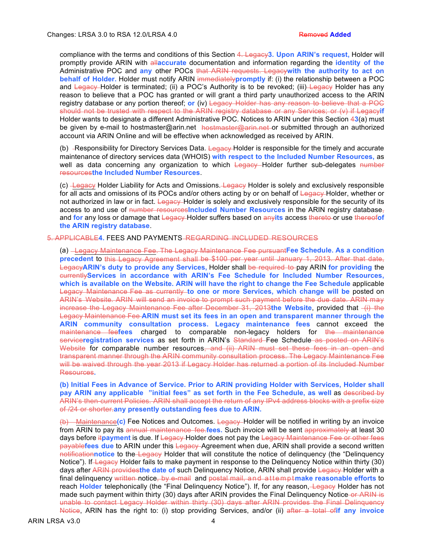compliance with the terms and conditions of this Section 4. Legacy**3. Upon ARIN's request,** Holder will promptly provide ARIN with all**accurate** documentation and information regarding the **identity of the**  Administrative POC and **any** other POCs that ARIN requests. Legacy**with the authority to act on behalf of Holder.** Holder must notify ARIN immediately**promptly** if: (i) the relationship between a POC and Legacy Holder is terminated; (ii) a POC's Authority is to be revoked; (iii) Legacy Holder has any reason to believe that a POC has granted or will grant a third party unauthorized access to the ARIN registry database or any portion thereof; **or** (iv) Legacy Holder has any reason to believe that a POC should not be trusted with respect to the ARIN registry database or any Services; or (v) if Legacy**if** Holder wants to designate a different Administrative POC. Notices to ARIN under this Section 4**3**(a) must be given by e-mail to hostmaster@arin.net hostmaster@arin.net or submitted through an authorized account via ARIN Online and will be effective when acknowledged as received by ARIN.

(b) -Responsibility for Directory Services Data. Legacy Holder is responsible for the timely and accurate maintenance of directory services data (WHOIS) **with respect to the Included Number Resources,** as well as data concerning any organization to which Legacy Holder further sub-delegates number resources**the Included Number Resources**.

 $(c)$  Legacy Holder Liability for Acts and Omissions. Legacy Holder is solely and exclusively responsible for all acts and omissions of its POCs and/or others acting by or on behalf of Legacy Holder, whether or not authorized in law or in fact. Legacy Holder is solely and exclusively responsible for the security of its access to and use of number resources**Included Number Resources** in the ARIN registry database, and **for** any loss or damage that Legacy Holder suffers based on any**its** access thereto or use thereof**of the ARIN registry database**.

#### 5. APPLICABLE**4.** FEES AND PAYMENTS REGARDING INCLUDED RESOURCES

(a) Legacy Maintenance Fee. The Legacy Maintenance Fee pursuant**Fee Schedule. As a condition precedent** to this Legacy Agreement shall be \$100 per year until January 1, 2013. After that date, Legacy**ARIN's duty to provide any Services,** Holder shall be required to pay ARIN **for providing** the currently**Services in accordance with ARIN's Fee Schedule for Included Number Resources, which is available on the Website. ARIN will have the right to change the Fee Schedule** applicable Legacy Maintenance Fee as currently **to one or more Services, which change will be** posted on ARIN's Website. ARIN will send an invoice to prompt such payment before the due date. ARIN may increase the Legacy Maintenance Fee after December 31, 2013the Website, provided that (i) the Legacy Maintenance Fee **ARIN must set its fees in an open and transparent manner through the ARIN community consultation process. Legacy maintenance fees** cannot exceed the maintenance fee**fees** charged to comparable non-legacy holders for the maintenance service**registration services** as set forth in ARIN's Standard Fee Schedule as posted on ARIN's Website for comparable number resources, and (ii) ARIN must set these fees in an open and transparent manner through the ARIN community consultation process. The Legacy Maintenance Fee will be waived through the year 2013 if Legacy Holder has returned a portion of its Included Number Resources**.**

**(b) Initial Fees in Advance of Service. Prior to ARIN providing Holder with Services, Holder shall pay ARIN any applicable "initial fees" as set forth in the Fee Schedule, as well** as described by ARIN's then-current Policies. ARIN shall accept the return of any IPv4 address blocks with a prefix size of /24 or shorter.**any presently outstanding fees due to ARIN.** 

(b) Maintenance**(c)** Fee Notices and Outcomes. Legacy Holder will be notified in writing by an invoice from ARIN to pay its annual maintenance fee.**fees.** Such invoice will be sent approximately at least 30 days before itpayment is due. If Legacy-Holder does not pay the Legacy Maintenance Fee or other fees payable**fees due** to ARIN under this Legacy Agreement when due, ARIN shall provide a second written notification**notice** to the Legacy Holder that will constitute the notice of delinquency (the "Delinquency Notice"). If Legacy Holder fails to make payment in response to the Delinguency Notice within thirty (30) days after ARIN provides**the date of** such Delinquency Notice, ARIN shall provide Legacy Holder with a final delinquency written notice, by e-mail and postal mail, and attempt**make reasonable efforts** to reach **Holder** telephonically (the "Final Delinquency Notice"). If, for any reason, Legacy Holder has not made such payment within thirty (30) days after ARIN provides the Final Delinquency Notice-or ARIN is unable to contact Legacy Holder within thirty (30) days after ARIN provides the Final Delinquency Notice, ARIN has the right to: (i) stop providing Services, and/or (ii) after a total of**if any invoice** 

ARIN LRSA v3.0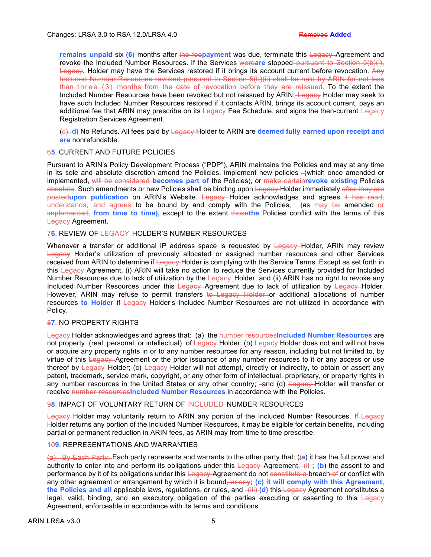**remains unpaid six (6)** months after the feepayment was due, terminate this Legacy Agreement and revoke the Included Number Resources. If the Services wereare stopped–pursuant to Section 5(b)(i), Legacy**,** Holder may have the Services restored if it brings its account current before revocation. Any Included Number Resources revoked pursuant to Section 5(b)(ii) shall be held by ARIN for not less than three (3) months from the date of revocation before they are reissued. To the extent the Included Number Resources have been revoked but not reissued by ARIN, Legacy Holder may seek to have such Included Number Resources restored if it contacts ARIN, brings its account current, pays an additional fee that ARIN may prescribe on its Legacy Fee Schedule, and signs the then-current Legacy Registration Services Agreement.

(c) **d)** No Refunds. All fees paid by Legacy Holder to ARIN are **deemed fully earned upon receipt and are** nonrefundable.

## 6**5**. CURRENT AND FUTURE POLICIES

Pursuant to ARIN's Policy Development Process ("PDP"), ARIN maintains the Policies and may at any time in its sole and absolute discretion amend the Policies, implement new policies  $-($ which once amended or implemented, will be considered **becomes part of** the Policies), or make certain**revoke existing** Policies obsolete. Such amendments or new Policies shall be binding upon Legacy-Holder immediately after they are posted**upon publication** on ARIN's Website. Legacy Holder acknowledges and agrees it has read, understands, and agrees to be bound by and comply with the Policies, **(**as may be amended or implemented, **from time to time),** except to the extent those**the** Policies conflict with the terms of this Legacy Agreement.

# 7**6**. REVIEW OF LEGACY HOLDER'S NUMBER RESOURCES

Whenever a transfer or additional IP address space is requested by Legacy Holder, ARIN may review Legacy Holder's utilization of previously allocated or assigned number resources and other Services received from ARIN to determine if Legacy-Holder is complying with the Service Terms. Except as set forth in this Legacy Agreement, (i) ARIN will take no action to reduce the Services currently provided for Included Number Resources due to lack of utilization by the Legacy Holder, and (ii) ARIN has no right to revoke any Included Number Resources under this Legacy Agreement due to lack of utilization by Legacy Holder. However, ARIN may refuse to permit transfers to Legacy Holder or additional allocations of number resources **to Holder** if Legacy Holder's Included Number Resources are not utilized in accordance with Policy.

## 8**7**. NO PROPERTY RIGHTS

Legacy Holder acknowledges and agrees that: - (a) -the number resourcesIncluded Number Resources are not property - (real, personal, or intellectual) - of Legacy Holder; (b) Legacy Holder does not and will not have or acquire any property rights in or to any number resources for any reason, including but not limited to, by virtue of this Legacy Agreement or the prior issuance of any number resources to it or any access or use thereof by Legacy Holder; (c) Legacy Holder will not attempt, directly or indirectly, to obtain or assert any patent, trademark, service mark, copyright, or any other form of intellectual, proprietary, or property rights in any number resources in the United States or any other country; -and (d) Legacy Holder will transfer or receive number resources**Included Number Resources** in accordance with the Policies.

# 9**8**. IMPACT OF VOLUNTARY RETURN OF INCLUDED NUMBER RESOURCES

Legacy Holder may voluntarily return to ARIN any portion of the Included Number Resources. If Legacy Holder returns any portion of the Included Number Resources, it may be eligible for certain benefits, including partial or permanent reduction in ARIN fees**,** as ARIN may from time to time prescribe.

# 10**9**. REPRESENTATIONS AND WARRANTIES

(a) By Each Party. Each party represents and warrants to the other party that: (i**a**) it has the full power and authority to enter into and perform its obligations under this Legacy Agreement. (ii) the assent to and performance by it of its obligations under this Legacy Agreement do not constitute a breach of or conflict with any other agreement or arrangement by which it is bound<del>, or any</del>; (c) it will comply with this Agreement, the Policies and all applicable laws, regulations, or rules, and  $-\frac{1}{1}$  (d) this Legacy Agreement constitutes a legal, valid, binding, and an executory obligation of the parties executing or assenting to this Legacy Agreement, enforceable in accordance with its terms and conditions.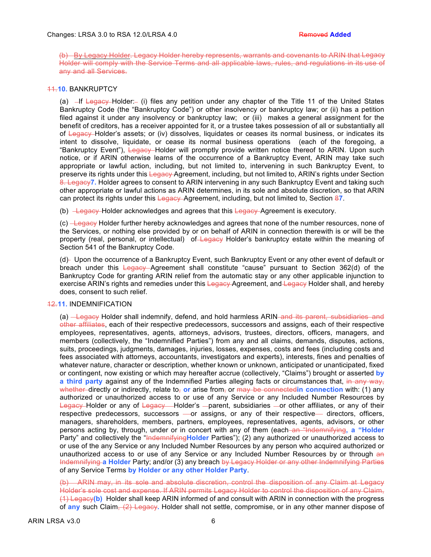(b) By Legacy Holder. Legacy Holder hereby represents, warrants and covenants to ARIN that Legacy Holder will comply with the Service Terms and all applicable laws, rules, and regulations in its use of any and all Services.

# 11.**10.** BANKRUPTCY

(a)  $-If$  Legacy Holder: (i) files any petition under any chapter of the Title 11 of the United States Bankruptcy Code (the "Bankruptcy Code") or other insolvency or bankruptcy law; or (ii) has a petition filed against it under any insolvency or bankruptcy law; or (iii) makes a general assignment for the benefit of creditors, has a receiver appointed for it, or a trustee takes possession of all or substantially all of Legacy Holder's assets; or (iv) dissolves, liquidates or ceases its normal business, or indicates its intent to dissolve, liquidate, or cease its normal business operations (each of the foregoing, a "Bankruptcy Event"), Legacy Holder will promptly provide written notice thereof to ARIN. Upon such notice, or if ARIN otherwise learns of the occurrence of a Bankruptcy Event, ARIN may take such appropriate or lawful action, including, but not limited to, intervening in such Bankruptcy Event, to preserve its rights under this Legacy Agreement, including, but not limited to, ARIN's rights under Section 8. Legacy**7.** Holder agrees to consent to ARIN intervening in any such Bankruptcy Event and taking such other appropriate or lawful actions as ARIN determines, in its sole and absolute discretion, so that ARIN can protect its rights under this Legacy Agreement, including, but not limited to, Section 8**7**.

(b)  $\frac{\text{Logacy} - \text{Holder acknowledges and agrees that this *Legacy* Agreement is executor.}$ 

(c) Legacy Holder further hereby acknowledges and agrees that none of the number resources, none of the Services, or nothing else provided by or on behalf of ARIN in connection therewith is or will be the property (real, personal, or intellectual) of Legacy Holder's bankruptcy estate within the meaning of Section 541 of the Bankruptcy Code.

(d) Upon the occurrence of a Bankruptcy Event, such Bankruptcy Event or any other event of default or breach under this Legacy Agreement shall constitute "cause" pursuant to Section 362(d) of the Bankruptcy Code for granting ARIN relief from the automatic stay or any other applicable injunction to exercise ARIN's rights and remedies under this Legacy Agreement, and Legacy Holder shall, and hereby does, consent to such relief.

## 12.**11.** INDEMNIFICATION

(a) Legacy Holder shall indemnify, defend, and hold harmless ARIN and its parent, subsidiaries and other affiliates, each of their respective predecessors, successors and assigns, each of their respective employees, representatives, agents, attorneys, advisors, trustees, directors, officers, managers, and members (collectively, the "Indemnified Parties") from any and all claims, demands, disputes, actions, suits, proceedings, judgments, damages, injuries, losses, expenses, costs and fees (including costs and fees associated with attorneys, accountants, investigators and experts), interests, fines and penalties of whatever nature, character or description, whether known or unknown, anticipated or unanticipated, fixed or contingent, now existing or which may hereafter accrue (collectively, "Claims") brought or asserted **by a third party against any of the Indemnified Parties alleging facts or circumstances that, in any way,** whether directly or indirectly, relate to<sub>r</sub> or arise from<sub>r</sub> or may be connected in connection with: (1) any authorized or unauthorized access to or use of any Service or any Included Number Resources by Legacy Holder or any of Legacy - Holder's - parent, subsidiaries - or other affiliates, or any of their respective predecessors, successors — or assigns, or any of their respective — directors, officers, managers, shareholders, members, partners, employees, representatives, agents, advisors, or other persons acting by, through, under or in concert with any of them (each an "Indemnifying, a "Holder" Party" and collectively the "Indemnifying**Holder** Parties"); (2) any authorized or unauthorized access to or use of the any Service or any Included Number Resources by any person who acquired authorized or unauthorized access to or use of any Service or any Included Number Resources by or through an Indemnifying **a Holder** Party; and/or (3) any breach by Legacy Holder or any other Indemnifying Parties of any Service Terms **by Holder or any other Holder Party**.

(b) ARIN may, in its sole and absolute discretion, control the disposition of any Claim at Legacy Holder's sole cost and expense. If ARIN permits Legacy Holder to control the disposition of any Claim, (1) Legacy**(b)** Holder shall keep ARIN informed of and consult with ARIN in connection with the progress of **any** such Claim, (2) Legacy**.** Holder shall not settle, compromise, or in any other manner dispose of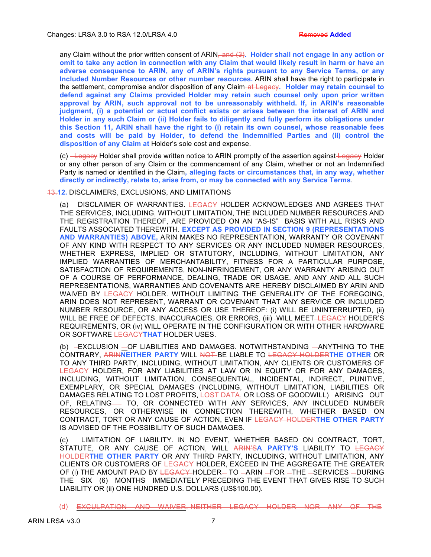any Claim without the prior written consent of ARIN<del>, and (3)</del>. Holder shall not engage in any action or **omit to take any action in connection with any Claim that would likely result in harm or have an adverse consequence to ARIN, any of ARIN's rights pursuant to any Service Terms, or any Included Number Resources or other number resources.** ARIN shall have the right to participate in the settlement, compromise and/or disposition of any Claim at Legacy**. Holder may retain counsel to defend against any Claims provided Holder may retain such counsel only upon prior written approval by ARIN, such approval not to be unreasonably withheld. If, in ARIN's reasonable judgment, (i) a potential or actual conflict exists or arises between the interest of ARIN and Holder in any such Claim or (ii) Holder fails to diligently and fully perform its obligations under this Section 11, ARIN shall have the right to (i) retain its own counsel, whose reasonable fees and costs will be paid by Holder, to defend the Indemnified Parties and (ii) control the disposition of any Claim at** Holder's sole cost and expense.

(c) Legacy Holder shall provide written notice to ARIN promptly of the assertion against Legacy Holder or any other person of any Claim or the commencement of any Claim, whether or not an Indemnified Party is named or identified in the Claim**, alleging facts or circumstances that, in any way, whether directly or indirectly, relate to, arise from, or may be connected with any Service Terms**.

#### 13.**12.** DISCLAIMERS, EXCLUSIONS, AND LIMITATIONS

(a) -DISCLAIMER OF WARRANTIES. LEGACY HOLDER ACKNOWLEDGES AND AGREES THAT THE SERVICES, INCLUDING, WITHOUT LIMITATION, THE INCLUDED NUMBER RESOURCES AND THE REGISTRATION THEREOF, ARE PROVIDED ON AN "AS-IS" -BASIS WITH ALL RISKS AND FAULTS ASSOCIATED THEREWITH. **EXCEPT AS PROVIDED IN SECTION 9 (REPRESENTATIONS AND WARRANTIES) ABOVE,** ARIN MAKES NO REPRESENTATION, WARRANTY OR COVENANT OF ANY KIND WITH RESPECT TO ANY SERVICES OR ANY INCLUDED NUMBER RESOURCES, WHETHER EXPRESS, IMPLIED OR STATUTORY, INCLUDING, WITHOUT LIMITATION, ANY IMPLIED WARRANTIES OF MERCHANTABILITY, FITNESS FOR A PARTICULAR PURPOSE, SATISFACTION OF REQUIREMENTS, NON-INFRINGEMENT, OR ANY WARRANTY ARISING OUT OF A COURSE OF PERFORMANCE, DEALING, TRADE OR USAGE. AND ANY AND ALL SUCH REPRESENTATIONS, WARRANTIES AND COVENANTS ARE HEREBY DISCLAIMED BY ARIN AND WAIVED BY LEGACY HOLDER. WITHOUT LIMITING THE GENERALITY OF THE FOREGOING, ARIN DOES NOT REPRESENT, WARRANT OR COVENANT THAT ANY SERVICE OR INCLUDED NUMBER RESOURCE, OR ANY ACCESS OR USE THEREOF: (i) WILL BE UNINTERRUPTED, (ii) WILL BE FREE OF DEFECTS, INACCURACIES, OR ERRORS, (iii) -WILL MEET-LEGACY HOLDER'S REQUIREMENTS, OR (iv) WILL OPERATE IN THE CONFIGURATION OR WITH OTHER HARDWARE OR SOFTWARE LEGACY**THAT** HOLDER USES.

(b) -EXCLUSION -OF LIABILITIES AND DAMAGES. NOTWITHSTANDING -ANYTHING TO THE CONTRARY, ARIN**NEITHER PARTY** WILL NOT BE LIABLE TO LEGACY HOLDER**THE OTHER** OR TO ANY THIRD PARTY, INCLUDING, WITHOUT LIMITATION, ANY CLIENTS OR CUSTOMERS OF LEGACY HOLDER, FOR ANY LIABILITIES AT LAW OR IN EQUITY OR FOR ANY DAMAGES, INCLUDING, WITHOUT LIMITATION, CONSEQUENTIAL, INCIDENTAL, INDIRECT, PUNITIVE, EXEMPLARY, OR SPECIAL DAMAGES (INCLUDING, WITHOUT LIMITATION, LIABILITIES OR DAMAGES RELATING TO LOST PROFITS, LOST DATA, OR LOSS OF GOODWILL) -ARISING -OUT OF, RELATING- TO, OR CONNECTED WITH ANY SERVICES, ANY INCLUDED NUMBER RESOURCES, OR OTHERWISE IN CONNECTION THEREWITH, WHETHER BASED ON CONTRACT, TORT OR ANY CAUSE OF ACTION, EVEN IF LEGACY HOLDER**THE OTHER PARTY** IS ADVISED OF THE POSSIBILITY OF SUCH DAMAGES.

(c)- LIMITATION OF LIABILITY. IN NO EVENT, WHETHER BASED ON CONTRACT, TORT, STATUTE, OR ANY CAUSE OF ACTION, WILL ARIN'S**A PARTY'S** LIABILITY TO LEGACY HOLDER**THE OTHER PARTY** OR ANY THIRD PARTY, INCLUDING, WITHOUT LIMITATION, ANY CLIENTS OR CUSTOMERS OF LEGACY HOLDER, EXCEED IN THE AGGREGATE THE GREATER OF (i) THE AMOUNT PAID BY LEGACY HOLDER- TO -ARIN -FOR -THE -SERVICES -DURING THE- SIX -(6) - MONTHS- IMMEDIATELY PRECEDING THE EVENT THAT GIVES RISE TO SUCH LIABILITY OR (ii) ONE HUNDRED U.S. DOLLARS (US\$100.00).

(d) EXCULPATION AND WAIVER. NEITHER LEGACY HOLDER NOR ANY OF THE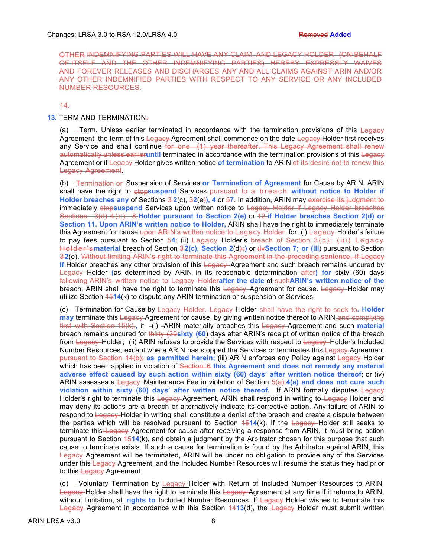OTHER INDEMNIFYING PARTIES WILL HAVE ANY CLAIM, AND LEGACY HOLDER (ON BEHALF OF ITSELF AND THE OTHER INDEMNIFYING PARTIES) HEREBY EXPRESSLY WAIVES AND FOREVER RELEASES AND DISCHARGES ANY AND ALL CLAIMS AGAINST ARIN AND/OR ANY OTHER INDEMNIFIED PARTIES WITH RESPECT TO ANY SERVICE OR ANY INCLUDED NUMBER RESOURCES.

14.

# **13.** TERM AND TERMINATION.

(a)  $-$ Term. Unless earlier terminated in accordance with the termination provisions of this Legacy Agreement, the term of this Legacy Agreement shall commence on the date Legacy-Holder first receives any Service and shall continue for one (1) year thereafter. This Legacy Agreement shall renew automatically unless earlieruntil terminated in accordance with the termination provisions of this Legacy Agreement or if Legacy Holder gives written notice **of termination** to ARIN of its desire not to renew this Legacy Agreement.

(b) Termination or Suspension of Services **or Termination of Agreement** for Cause by ARIN. ARIN shall have the right to stop**suspend** Services pursuant to a breach **without notice to Holder if Holder breaches any** of Sections 3 **2**(c), 3**2**(e)**), 4** or 5**7**. In addition, ARIN may exercise its judgment to immediately stop**suspend** Services upon written notice to Legacy Holder if Legacy Holder breaches Sections 3(d) 4(c), 8,**Holder pursuant to Section 2(e)** or 12.**if Holder breaches Section 2(d) or Section 11. Upon ARIN's written notice to Holder,** ARIN shall have the right to immediately terminate this Agreement for cause upon ARIN's written notice to Legacy Holder for: (i) Legacy Holder's failure to pay fees pursuant to Section 5**4**; (ii) Legacy Holder's breach of Section 3(c); (iii) Legacy Holder's material breach of Section 3-2(c), Section 2(d);) or (iv Section 7; or (iii) pursuant to Section 3 **2**(e). Without limiting ARIN's right to terminate this Agreement in the preceding sentence, if Legacy **If** Holder breaches any other provision of this Legacy Agreement and such breach remains uncured by Legacy Holder **(**as determined by ARIN in its reasonable determination after**) for** sixty (60) days following ARIN's written notice to Legacy Holder**after the date** of such**ARIN's written notice of the** breach, ARIN shall have the right to terminate this Legacy Agreement for cause. Legacy Holder may utilize Section 15**14**(k) to dispute any ARIN termination or suspension of Services.

(c) Termination for Cause by Legacy Holder. Legacy Holder shall have the right to seek to**. Holder may** terminate this Legacy Agreement for cause, by giving written notice thereof to ARIN and complying first with Section 15(k),, if: -(i) -ARIN materially breaches this Legacy Agreement and such *material* breach remains uncured for thirty (30**sixty (60**) days after ARIN's receipt of written notice of the breach from Legacy Holder; (ii) ARIN refuses to provide the Services with respect to Legacy Holder's Included Number Resources, except where ARIN has stopped the Services or terminates this Legacy Agreement pursuant to Section 14(b); **as permitted herein;** (iii) ARIN enforces any Policy against Legacy Holder which has been applied in violation of <del>Section 6</del> this Agreement and does not remedy any material **adverse effect caused by such action within sixty (60) days' after written notice thereof**; or (iv) ARIN assesses a Legacy Maintenance Fee in violation of Section 5(a).**4(a) and does not cure such violation within sixty (60) days' after written notice thereof.** If ARIN formally disputes Legacy Holder's right to terminate this Legacy Agreement, ARIN shall respond in writing to Legacy Holder and may deny its actions are a breach or alternatively indicate its corrective action. Any failure of ARIN to respond to Legacy Holder in writing shall constitute a denial of the breach and create a dispute between the parties which will be resolved pursuant to Section 15**14**(k). If the Legacy Holder still seeks to terminate this Legacy Agreement for cause after receiving a response from ARIN, it must bring action pursuant to Section 15**14**(k), and obtain a judgment by the Arbitrator chosen for this purpose that such cause to terminate exists. If such a cause for termination is found by the Arbitrator against ARIN, this Legacy Agreement will be terminated, ARIN will be under no obligation to provide any of the Services under this Legacy Agreement, and the Included Number Resources will resume the status they had prior to this Legacy Agreement.

(d)  $-V$ oluntary Termination by *Legacy*-Holder with Return of Included Number Resources to ARIN. Legacy Holder shall have the right to terminate this Legacy Agreement at any time if it returns to ARIN, without limitation, all **rights to** Included Number Resources. If Legacy Holder wishes to terminate this Legacy Agreement in accordance with this Section 4413(d), the Legacy Holder must submit written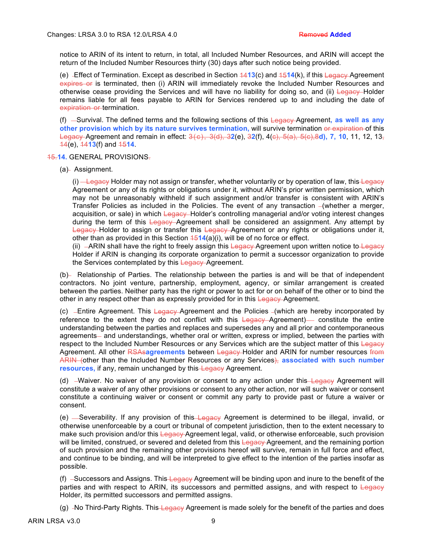notice to ARIN of its intent to return, in total, all Included Number Resources, and ARIN will accept the return of the Included Number Resources thirty (30) days after such notice being provided.

(e) Effect of Termination. Except as described in Section 14**13**(c) and 15**14**(k), if this Legacy Agreement expires or is terminated, then (i) ARIN will immediately revoke the Included Number Resources and otherwise cease providing the Services and will have no liability for doing so, and (ii) Legacy-Holder remains liable for all fees payable to ARIN for Services rendered up to and including the date of expiration or termination.

(f) -Survival. The defined terms and the following sections of this Legacy Agreement, as well as any **other provision which by its nature survives termination,** will survive termination or expiration of this Legacy Agreement and remain in effect: 3(c), 3(d), 3**2**(e), 3**2**(f), 4(c), 5(a), 5(c),8**d), 7, 10**, 11, 12, 13, 14(e), 14**13**(f) and 15**14**.

## 15.**14.** GENERAL PROVISIONS.

(a)- Assignment.

 $(i)$  -Legacy Holder may not assign or transfer, whether voluntarily or by operation of law, this Legacy Agreement or any of its rights or obligations under it, without ARIN's prior written permission, which may not be unreasonably withheld if such assignment and/or transfer is consistent with ARIN's Transfer Policies as included in the Policies. The event of any transaction  $-($ whether a merger, acquisition, or sale) in which Legacy-Holder's controlling managerial and/or voting interest changes during the term of this Legacy-Agreement shall be considered an assignment. Any attempt by Legacy Holder to assign or transfer this Legacy Agreement or any rights or obligations under it, other than as provided in this Section  $\frac{4514}{a}$ (a)(i), will be of no force or effect.

(ii)  $-ARIN$  shall have the right to freely assign this Legacy-Agreement upon written notice to Legacy Holder if ARIN is changing its corporate organization to permit a successor organization to provide the Services contemplated by this Legacy Agreement.

(b) Relationship of Parties. The relationship between the parties is and will be that of independent contractors. No joint venture, partnership, employment, agency, or similar arrangement is created between the parties. Neither party has the right or power to act for or on behalf of the other or to bind the other in any respect other than as expressly provided for in this Legacy-Agreement.

(c)  $-$  Entire Agreement. This  $\frac{L}{2}$  Equacy Agreement and the Policies  $-($ which are hereby incorporated by reference to the extent they do not conflict with this Legacy Agreement) constitute the entire understanding between the parties and replaces and supersedes any and all prior and contemporaneous agreements- and understandings, whether oral or written, express or implied, between the parties with respect to the Included Number Resources or any Services which are the subject matter of this Legacy Agreement. All other RSAs**agreements** between Legacy Holder and ARIN for number resources from ARIN (other than the Included Number Resources or any Services), **associated with such number resources,** if any, remain unchanged by this Legacy Agreement.

(d)  $-Waiver.$  No waiver of any provision or consent to any action under this Legacy Agreement will constitute a waiver of any other provisions or consent to any other action, nor will such waiver or consent constitute a continuing waiver or consent or commit any party to provide past or future a waiver or consent.

(e) -Severability. If any provision of this Legacy Agreement is determined to be illegal, invalid, or otherwise unenforceable by a court or tribunal of competent jurisdiction, then to the extent necessary to make such provision and/or this Legacy-Agreement legal, valid, or otherwise enforceable, such provision will be limited, construed, or severed and deleted from this Legacy Agreement, and the remaining portion of such provision and the remaining other provisions hereof will survive, remain in full force and effect, and continue to be binding, and will be interpreted to give effect to the intention of the parties insofar as possible.

(f)  $-Successors$  and Assigns. This Legacy Agreement will be binding upon and inure to the benefit of the parties and with respect to ARIN, its successors and permitted assigns, and with respect to  $\epsilon$ Holder, its permitted successors and permitted assigns.

(g)  $-No$  Third-Party Rights. This Legacy Agreement is made solely for the benefit of the parties and does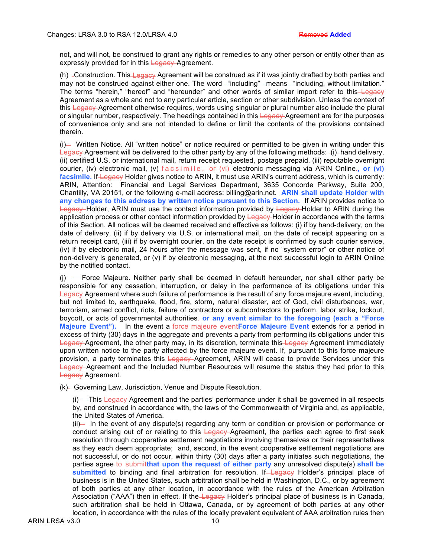not, and will not, be construed to grant any rights or remedies to any other person or entity other than as expressly provided for in this Legacy Agreement.

(h) -Construction. This Legacy Agreement will be construed as if it was jointly drafted by both parties and may not be construed against either one. The word - "including" - means - "including, without limitation." The terms "herein," "hereof" and "hereunder" and other words of similar import refer to this—Legacy Agreement as a whole and not to any particular article, section or other subdivision. Unless the context of this Legacy Agreement otherwise requires, words using singular or plural number also include the plural or singular number, respectively. The headings contained in this Legacy-Agreement are for the purposes of convenience only and are not intended to define or limit the contents of the provisions contained therein.

 $(i)$  Written Notice. All "written notice" or notice required or permitted to be given in writing under this Legacy Agreement will be delivered to the other party by any of the following methods: -(i) hand delivery, (ii) certified U.S. or international mail, return receipt requested, postage prepaid, (iii) reputable overnight courier, (iv) electronic mail, (v) facsimile, or (vi) electronic messaging via ARIN Online.**, or (vi)**  facsimile. If Legacy Holder gives notice to ARIN, it must use ARIN's current address, which is currently: ARIN, Attention: Financial and Legal Services Department, 3635 Concorde Parkway, Suite 200, Chantilly, VA 20151, or the following e-mail address: billing@arin.net. **ARIN shall update Holder with any changes to this address by written notice pursuant to this Section.** If ARIN provides notice to Legacy Holder, ARIN must use the contact information provided by Legacy Holder to ARIN during the application process or other contact information provided by Legacy Holder in accordance with the terms of this Section. All notices will be deemed received and effective as follows: (i) if by hand-delivery, on the date of delivery, (ii) if by delivery via U.S. or international mail, on the date of receipt appearing on a return receipt card, (iii) if by overnight courier, on the date receipt is confirmed by such courier service, (iv) if by electronic mail, 24 hours after the message was sent, if no "system error" or other notice of non-delivery is generated, or (v) if by electronic messaging, at the next successful login to ARIN Online by the notified contact.

(i) — Force Majeure. Neither party shall be deemed in default hereunder, nor shall either party be responsible for any cessation, interruption, or delay in the performance of its obligations under this Legacy Agreement where such failure of performance is the result of any force majeure event, including, but not limited to, earthquake, flood, fire, storm, natural disaster, act of God, civil disturbances, war, terrorism, armed conflict, riots, failure of contractors or subcontractors to perform, labor strike, lockout, boycott, or acts of governmental authorities. **or any event similar to the foregoing (each a "Force**  Majeure Event"). In the event a force majeure event**Force Majeure Event** extends for a period in excess of thirty (30) days in the aggregate and prevents a party from performing its obligations under this Legacy Agreement, the other party may, in its discretion, terminate this Legacy Agreement immediately upon written notice to the party affected by the force majeure event. If, pursuant to this force majeure provision, a party terminates this Legacy Agreement, ARIN will cease to provide Services under this Legacy Agreement and the Included Number Resources will resume the status they had prior to this Legacy Agreement.

(k) Governing Law, Jurisdiction, Venue and Dispute Resolution.

 $(i)$   $\overline{\text{This} + \text{edge}}$  Agreement and the parties' performance under it shall be governed in all respects by, and construed in accordance with, the laws of the Commonwealth of Virginia and, as applicable, the United States of America.

(ii) In the event of any dispute(s) regarding any term or condition or provision or performance or conduct arising out of or relating to this Legacy Agreement, the parties each agree to first seek resolution through cooperative settlement negotiations involving themselves or their representatives as they each deem appropriate; and, second, in the event cooperative settlement negotiations are not successful, or do not occur, within thirty (30) days after a party initiates such negotiations, the parties agree to submitthat upon the request of either party any unresolved dispute(s) shall be submitted to binding and final arbitration for resolution. If Legacy Holder's principal place of business is in the United States, such arbitration shall be held in Washington, D.C., or by agreement of both parties at any other location, in accordance with the rules of the American Arbitration Association ("AAA") then in effect. If the Legacy Holder's principal place of business is in Canada, such arbitration shall be held in Ottawa, Canada, or by agreement of both parties at any other location, in accordance with the rules of the locally prevalent equivalent of AAA arbitration rules then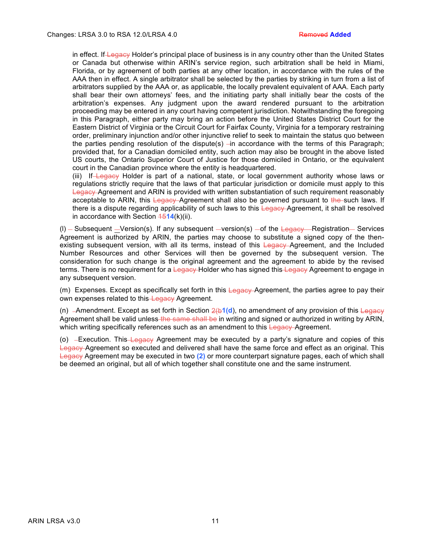in effect. If Legacy Holder's principal place of business is in any country other than the United States or Canada but otherwise within ARIN's service region, such arbitration shall be held in Miami, Florida, or by agreement of both parties at any other location, in accordance with the rules of the AAA then in effect. A single arbitrator shall be selected by the parties by striking in turn from a list of arbitrators supplied by the AAA or, as applicable, the locally prevalent equivalent of AAA. Each party shall bear their own attorneys' fees, and the initiating party shall initially bear the costs of the arbitration's expenses. Any judgment upon the award rendered pursuant to the arbitration proceeding may be entered in any court having competent jurisdiction. Notwithstanding the foregoing in this Paragraph, either party may bring an action before the United States District Court for the Eastern District of Virginia or the Circuit Court for Fairfax County, Virginia for a temporary restraining order, preliminary injunction and/or other injunctive relief to seek to maintain the status quo between the parties pending resolution of the dispute(s)  $\overline{-}$  in accordance with the terms of this Paragraph; provided that, for a Canadian domiciled entity, such action may also be brought in the above listed US courts, the Ontario Superior Court of Justice for those domiciled in Ontario, or the equivalent court in the Canadian province where the entity is headquartered.

(iii) If Legacy Holder is part of a national, state, or local government authority whose laws or regulations strictly require that the laws of that particular jurisdiction or domicile must apply to this Legacy Agreement and ARIN is provided with written substantiation of such requirement reasonably acceptable to ARIN, this Legacy-Agreement shall also be governed pursuant to the such laws. If there is a dispute regarding applicability of such laws to this Legacy-Agreement, it shall be resolved in accordance with Section  $\frac{451}{4}$ (k)(ii).

(I)  $-$  Subsequent  $-$ Version(s). If any subsequent  $-$ version(s)  $-$ of the Legacy Registration Services Agreement is authorized by ARIN, the parties may choose to substitute a signed copy of the thenexisting subsequent version, with all its terms, instead of this Legacy-Agreement, and the Included Number Resources and other Services will then be governed by the subsequent version. The consideration for such change is the original agreement and the agreement to abide by the revised terms. There is no requirement for a Legacy-Holder who has signed this Legacy Agreement to engage in any subsequent version.

(m) Expenses. Except as specifically set forth in this Legacy Agreement, the parties agree to pay their own expenses related to this-Legacy Agreement.

(n) Amendment. Except as set forth in Section 2(b**1(d**), no amendment of any provision of this Legacy Agreement shall be valid unless the same shall be in writing and signed or authorized in writing by ARIN, which writing specifically references such as an amendment to this Legacy-Agreement.

(o)  $-$ Execution. This Legacy Agreement may be executed by a party's signature and copies of this Legacy Agreement so executed and delivered shall have the same force and effect as an original. This Legacy Agreement may be executed in two **(2)** or more counterpart signature pages, each of which shall be deemed an original, but all of which together shall constitute one and the same instrument.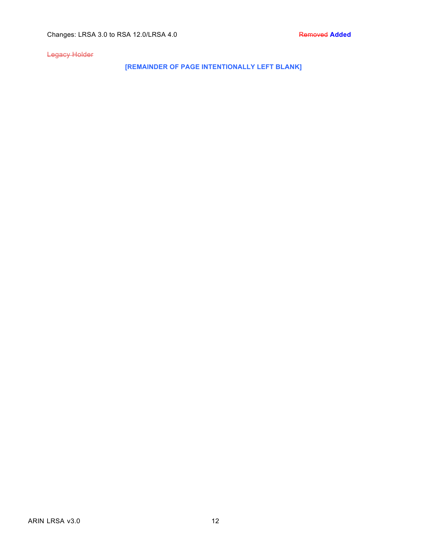Legacy Holder

**[REMAINDER OF PAGE INTENTIONALLY LEFT BLANK]**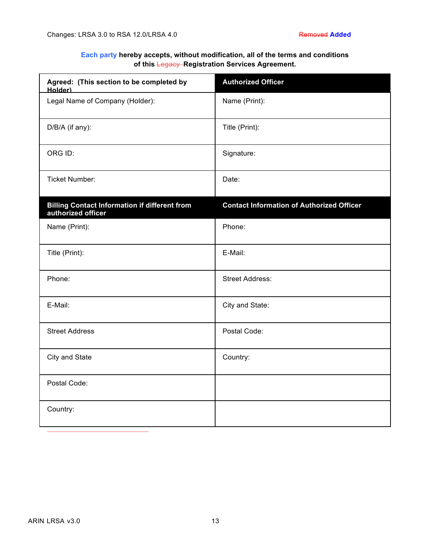# **Each party hereby accepts, without modification, all of the terms and conditions of this** Legacy **Registration Services Agreement.**

| Agreed: (This section to be completed by<br>Holder)                        | <b>Authorized Officer</b>                        |
|----------------------------------------------------------------------------|--------------------------------------------------|
| Legal Name of Company (Holder):                                            | Name (Print):                                    |
| D/B/A (if any):                                                            | Title (Print):                                   |
| ORG ID:                                                                    | Signature:                                       |
| <b>Ticket Number:</b>                                                      | Date:                                            |
| <b>Billing Contact Information if different from</b><br>authorized officer | <b>Contact Information of Authorized Officer</b> |
| Name (Print):                                                              | Phone:                                           |
| Title (Print):                                                             | E-Mail:                                          |
| Phone:                                                                     | <b>Street Address:</b>                           |
| E-Mail:                                                                    | City and State:                                  |
| <b>Street Address</b>                                                      | Postal Code:                                     |
| City and State                                                             | Country:                                         |
| Postal Code:                                                               |                                                  |
| Country:                                                                   |                                                  |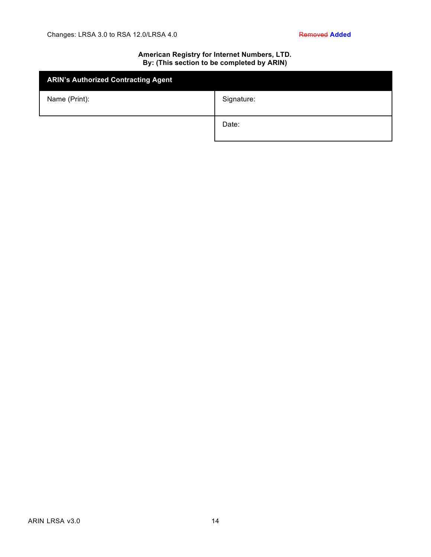# **American Registry for Internet Numbers, LTD. By: (This section to be completed by ARIN)**

| <b>ARIN's Authorized Contracting Agent</b> |            |
|--------------------------------------------|------------|
| Name (Print):                              | Signature: |
|                                            | Date:      |